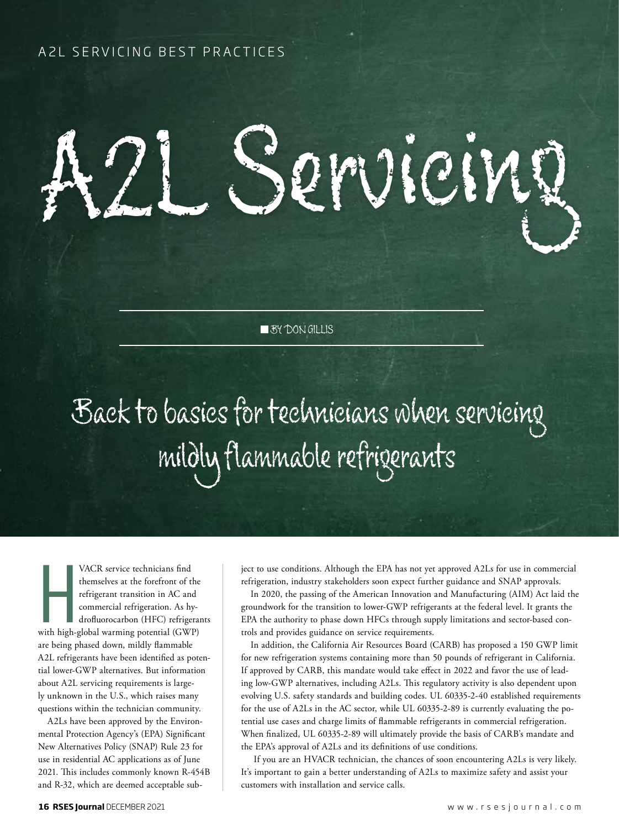ACIME

**BY DON GILLIS** 

# Back to basics for technicians when servicing mildly flammable refrigerants

Hall<br>With high-g<br>are being n VACR service technicians find themselves at the forefront of the refrigerant transition in AC and commercial refrigeration. As hydrofluorocarbon (HFC) refrigerants with high-global warming potential (GWP) are being phased down, mildly flammable A2L refrigerants have been identified as potential lower-GWP alternatives. But information about A2L servicing requirements is largely unknown in the U.S., which raises many questions within the technician community.

A2Ls have been approved by the Environmental Protection Agency's (EPA) Significant New Alternatives Policy (SNAP) Rule 23 for use in residential AC applications as of June 2021. This includes commonly known R-454B and R-32, which are deemed acceptable subject to use conditions. Although the EPA has not yet approved A2Ls for use in commercial refrigeration, industry stakeholders soon expect further guidance and SNAP approvals.

In 2020, the passing of the American Innovation and Manufacturing (AIM) Act laid the groundwork for the transition to lower-GWP refrigerants at the federal level. It grants the EPA the authority to phase down HFCs through supply limitations and sector-based controls and provides guidance on service requirements.

In addition, the California Air Resources Board (CARB) has proposed a 150 GWP limit for new refrigeration systems containing more than 50 pounds of refrigerant in California. If approved by CARB, this mandate would take effect in 2022 and favor the use of leading low-GWP alternatives, including A2Ls. This regulatory activity is also dependent upon evolving U.S. safety standards and building codes. UL 60335-2-40 established requirements for the use of A2Ls in the AC sector, while UL 60335-2-89 is currently evaluating the potential use cases and charge limits of flammable refrigerants in commercial refrigeration. When finalized, UL 60335-2-89 will ultimately provide the basis of CARB's mandate and the EPA's approval of A2Ls and its definitions of use conditions.

If you are an HVACR technician, the chances of soon encountering A2Ls is very likely. It's important to gain a better understanding of A2Ls to maximize safety and assist your customers with installation and service calls.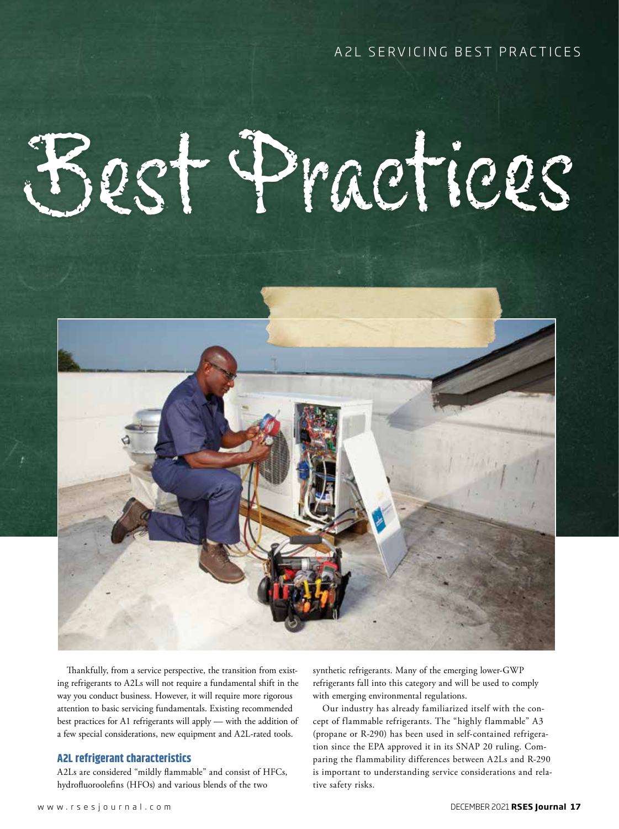# Best Practices



Thankfully, from a service perspective, the transition from existing refrigerants to A2Ls will not require a fundamental shift in the way you conduct business. However, it will require more rigorous attention to basic servicing fundamentals. Existing recommended best practices for A1 refrigerants will apply — with the addition of a few special considerations, new equipment and A2L-rated tools.

#### **A2L refrigerant characteristics**

A2Ls are considered "mildly flammable" and consist of HFCs, hydrofluoroolefins (HFOs) and various blends of the two

synthetic refrigerants. Many of the emerging lower-GWP refrigerants fall into this category and will be used to comply with emerging environmental regulations.

Our industry has already familiarized itself with the concept of flammable refrigerants. The "highly flammable" A3 (propane or R-290) has been used in self-contained refrigeration since the EPA approved it in its SNAP 20 ruling. Comparing the flammability differences between A2Ls and R-290 is important to understanding service considerations and relative safety risks.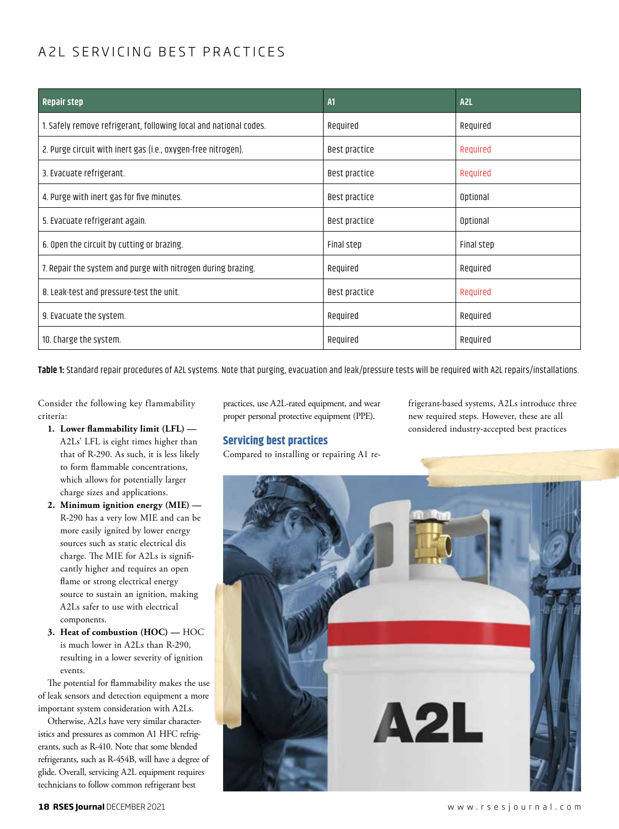| <b>Repair step</b>                                                | A1            | A <sub>2L</sub> |
|-------------------------------------------------------------------|---------------|-----------------|
| 1. Safely remove refrigerant, following local and national codes. | Required      | Required        |
| 2. Purge circuit with inert gas (i.e., oxygen-free nitrogen).     | Best practice | Required        |
| 3. Evacuate refrigerant.                                          | Best practice | Required        |
| 4. Purge with inert gas for five minutes.                         | Best practice | Optional        |
| 5. Evacuate refrigerant again.                                    | Best practice | Optional        |
| 6. Open the circuit by cutting or brazing.                        | Final step    | Final step      |
| 7. Repair the system and purge with nitrogen during brazing.      | Required      | Required        |
| 8. Leak-test and pressure-test the unit.                          | Best practice | Required        |
| 9. Evacuate the system.                                           | Required      | Required        |
| 10. Charge the system.                                            | Required      | Required        |

**Table 1:** Standard repair procedures of A2L systems. Note that purging, evacuation and leak/pressure tests will be required with A2L repairs/installations.

Consider the following key flammability criteria:

- **1. Lower flammability limit (LFL)**  A2Ls' LFL is eight times higher than that of R-290. As such, it is less likely to form flammable concentrations, which allows for potentially larger charge sizes and applications.
- **2. Minimum ignition energy (MIE)**  R-290 has a very low MIE and can be more easily ignited by lower energy sources such as static electrical dis charge. The MIE for A2Ls is significantly higher and requires an open flame or strong electrical energy source to sustain an ignition, making A2Ls safer to use with electrical components.
- **3. Heat of combustion (HOC) —** HOC is much lower in A2Ls than R-290, resulting in a lower severity of ignition events.

The potential for flammability makes the use of leak sensors and detection equipment a more important system consideration with A2Ls.

Otherwise, A2Ls have very similar characteristics and pressures as common A1 HFC refrigerants, such as R-410. Note that some blended refrigerants, such as R-454B, will have a degree of glide. Overall, servicing A2L equipment requires technicians to follow common refrigerant best

practices, use A2L-rated equipment, and wear proper personal protective equipment (PPE).

Compared to installing or repairing A1 re-

**Servicing best practices**

#### frigerant-based systems, A2Ls introduce three new required steps. However, these are all considered industry-accepted best practices